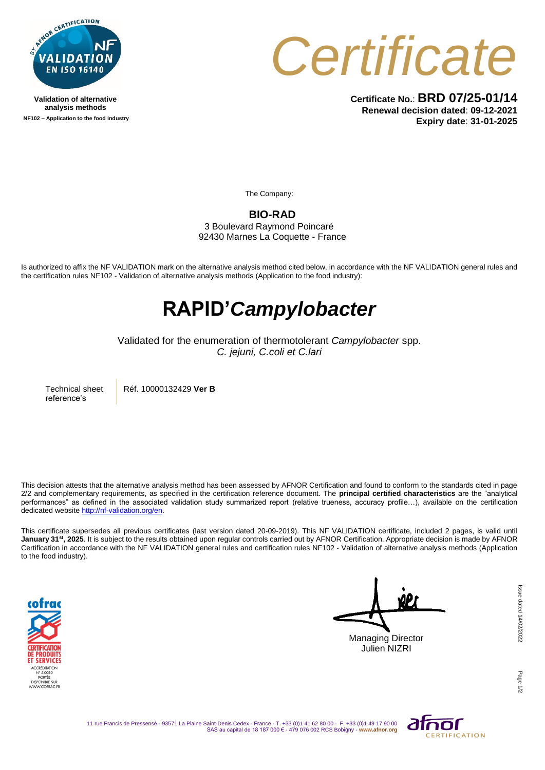

**Validation of alternative analysis methods NF102 – Application to the food industry**



**Certificate No.**: **BRD 07/25-01/14 Renewal decision dated**: **09-12-2021 Expiry date**: **31-01-2025**

The Company:

**BIO-RAD** 3 Boulevard Raymond Poincaré 92430 Marnes La Coquette - France

Is authorized to affix the NF VALIDATION mark on the alternative analysis method cited below, in accordance with the NF VALIDATION general rules and the certification rules NF102 - Validation of alternative analysis methods (Application to the food industry):

## **RAPID'***Campylobacter*

Validated for the enumeration of thermotolerant *Campylobacter* spp. *C. jejuni, C.coli et C.lari*

Technical sheet reference's

Réf. 10000132429 **Ver B**

This decision attests that the alternative analysis method has been assessed by AFNOR Certification and found to conform to the standards cited in page 2/2 and complementary requirements, as specified in the certification reference document. The **principal certified characteristics** are the "analytical performances" as defined in the associated validation study summarized report (relative trueness, accuracy profile…), available on the certification dedicated websit[e http://nf-validation.org/en.](http://nf-validation.org/en)

This certificate supersedes all previous certificates (last version dated 20-09-2019). This NF VALIDATION certificate, included 2 pages, is valid until **January 31st, 2025**. It is subject to the results obtained upon regular controls carried out by AFNOR Certification. Appropriate decision is made by AFNOR Certification in accordance with the NF VALIDATION general rules and certification rules NF102 - Validation of alternative analysis methods (Application to the food industry).



**1P** Managing Director

Julien NIZRI